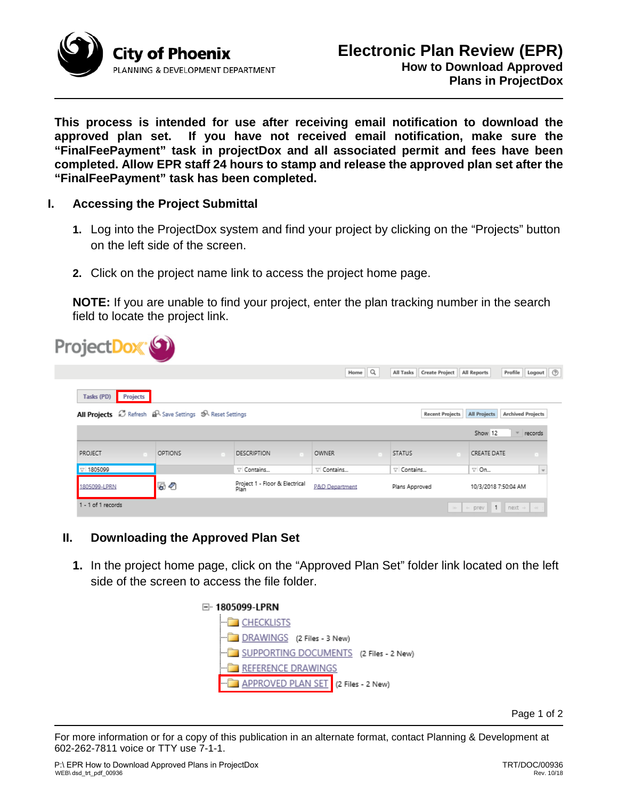

**This process is intended for use after receiving email notification to download the approved plan set. If you have not received email notification, make sure the "FinalFeePayment" task in projectDox and all associated permit and fees have been completed. Allow EPR staff 24 hours to stamp and release the approved plan set after the "FinalFeePayment" task has been completed.**

## **I. Accessing the Project Submittal**

- **1.** Log into the ProjectDox system and find your project by clicking on the "Projects" button on the left side of the screen.
- **2.** Click on the project name link to access the project home page.

**NOTE:** If you are unable to find your project, enter the plan tracking number in the search field to locate the project link.

| ProjectDox <sup>(6)</sup>     |                                                           |                                        |                    |                             |                                                         |
|-------------------------------|-----------------------------------------------------------|----------------------------------------|--------------------|-----------------------------|---------------------------------------------------------|
|                               |                                                           |                                        | Home Q             | Create Project<br>All Tasks | Logout   ⑦<br>Profile<br>All Reports                    |
| <b>Projects</b><br>Tasks (PD) |                                                           |                                        |                    |                             |                                                         |
|                               | All Projects & Refresh AR Save Settings 5R Reset Settings |                                        |                    | <b>Recent Projects</b>      | <b>Archived Projects</b><br>All Projects                |
|                               |                                                           |                                        |                    |                             | Show 12<br>records                                      |
| <b>PROJECT</b>                | <b>OPTIONS</b>                                            | <b>DESCRIPTION</b>                     | <b>OWNER</b>       | <b>STATUS</b>               | CREATE DATE                                             |
| $\nabla$ 1805099              |                                                           | V Contains                             | $\nabla$ Contains. | $\nabla$ Contains           | $\nabla$ On<br>$\sim$                                   |
| 1805099-LPRN                  | 50                                                        | Project 1 - Floor & Electrical<br>Plan | P&D Department     | Plans Approved              | 10/3/2018 7:50:04 AM                                    |
| 1 - 1 of 1 records            |                                                           |                                        |                    |                             | $\left\vert x\right\vert$ + prev 1 next + $\rightarrow$ |

## **II. Downloading the Approved Plan Set**

**1.** In the project home page, click on the "Approved Plan Set" folder link located on the left side of the screen to access the file folder.



Page 1 of 2

For more information or for a copy of this publication in an alternate format, contact Planning & Development at 602-262-7811 voice or TTY use 7-1-1.